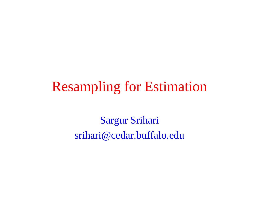### Resampling for Estimation

Sargur Srihari srihari@cedar.buffalo.edu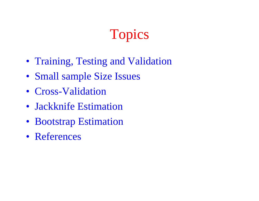# Topics

- Training, Testing and Validation
- Small sample Size Issues
- Cross-Validation
- Jackknife Estimation
- Bootstrap Estimation
- References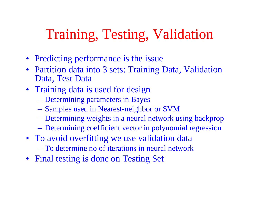## Training, Testing, Validation

- Predicting performance is the issue
- Partition data into 3 sets: Training Data, Validation Data, Test Data
- Training data is used for design
	- Determining parameters in Bayes
	- Samples used in Nearest-neighbor or SVM
	- Determining weights in a neural network using backprop
	- Determining coefficient vector in polynomial regression
- To avoid overfitting we use validation data
	- To determine no of iterations in neural network
- Final testing is done on Testing Set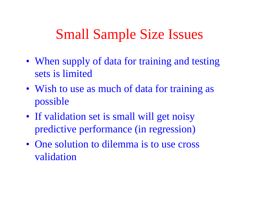### Small Sample Size Issues

- When supply of data for training and testing sets is limited
- Wish to use as much of data for training as possible
- If validation set is small will get noisy predictive performance (in regression)
- One solution to dilemma is to use cross validation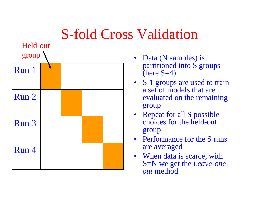### S-fold Cross Validation

| group |  |  |  |  |
|-------|--|--|--|--|
| Run 1 |  |  |  |  |
| Run 2 |  |  |  |  |
| Run 3 |  |  |  |  |
| Run 4 |  |  |  |  |

Held-out

- Data (N samples) is partitioned into S groups (here  $S=4$ )
- S-1 groups are used to train a set of models that are evaluated on the remaining group
- Repeat for all S possible choices for the held-out group
- Performance for the S runs are averaged
- When data is scarce, with S=N we get the *Leave-oneout* method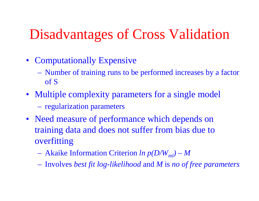### Disadvantages of Cross Validation

- Computationally Expensive
	- Number of training runs to be performed increases by a factor of S
- Multiple complexity parameters for a single model – regularization parameters
- Need measure of performance which depends on training data and does not suffer from bias due to overfitting
	- Akaike Information Criterion *ln p(D/Wml) – M*
	- Involves *best fit log-likelihood* and *M* is *no of free parameters*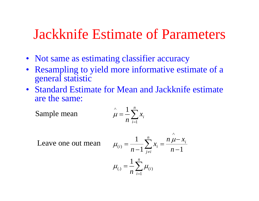#### Jackknife Estimate of Parameters

- Not same as estimating classifier accuracy
- Resampling to yield more informative estimate of a general statistic
- Standard Estimate for Mean and Jackknife estimate are the same:

Sample mean

$$
\hat{\mu} = \frac{1}{n} \sum_{i=1}^{n} x_i
$$

Leave one out mean

$$
\mu_{(i)} = \frac{1}{n-1} \sum_{j \neq i}^{n} x_i = \frac{n \mu - x_i}{n-1}
$$

∧

$$
\mu_{(.)} = \frac{1}{n} \sum_{i=1}^{n} \mu_{(i)}
$$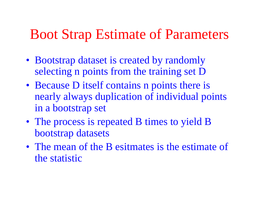#### Boot Strap Estimate of Parameters

- Bootstrap dataset is created by randomly selecting n points from the training set D
- Because D itself contains n points there is nearly always duplication of individual points in a bootstrap set
- The process is repeated B times to yield B bootstrap datasets
- The mean of the B esitmates is the estimate of the statistic